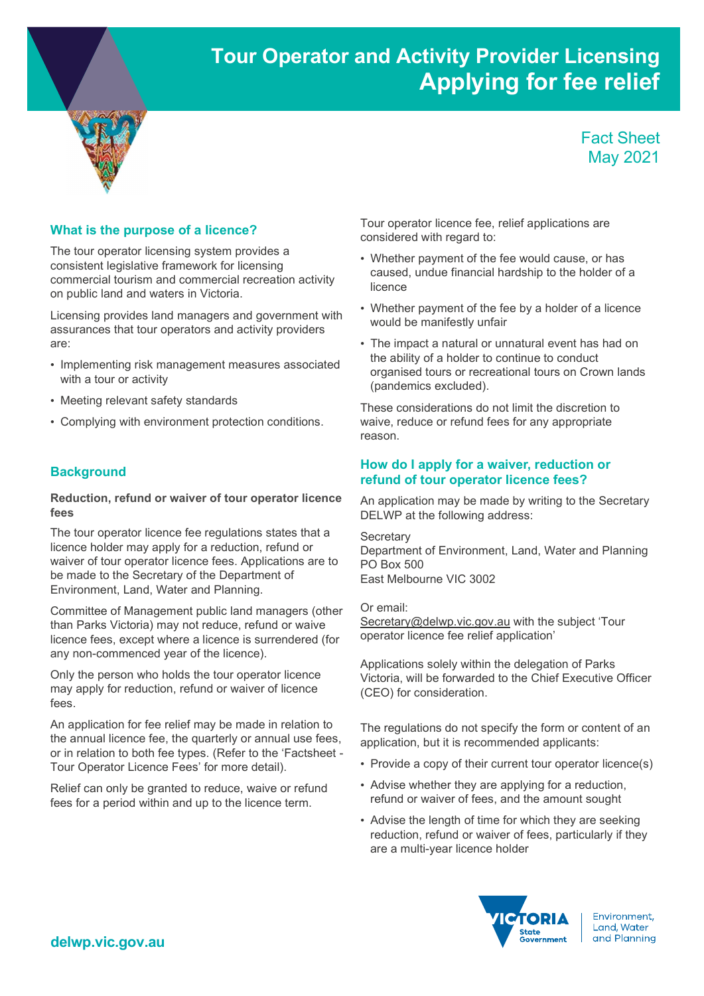# Tour Operator and Activity Provider Licensing Applying for fee relief



# Fact Sheet May 2021

#### What is the purpose of a licence?

The tour operator licensing system provides a consistent legislative framework for licensing commercial tourism and commercial recreation activity on public land and waters in Victoria.

Licensing provides land managers and government with assurances that tour operators and activity providers are:

- Implementing risk management measures associated with a tour or activity
- Meeting relevant safety standards
- Complying with environment protection conditions.

## **Background**

#### Reduction, refund or waiver of tour operator licence fees

The tour operator licence fee regulations states that a licence holder may apply for a reduction, refund or waiver of tour operator licence fees. Applications are to be made to the Secretary of the Department of Environment, Land, Water and Planning.

Committee of Management public land managers (other than Parks Victoria) may not reduce, refund or waive licence fees, except where a licence is surrendered (for any non-commenced year of the licence).

Only the person who holds the tour operator licence may apply for reduction, refund or waiver of licence fees.

An application for fee relief may be made in relation to the annual licence fee, the quarterly or annual use fees, or in relation to both fee types. (Refer to the 'Factsheet - Tour Operator Licence Fees' for more detail).

Relief can only be granted to reduce, waive or refund fees for a period within and up to the licence term.

Tour operator licence fee, relief applications are considered with regard to:

- Whether payment of the fee would cause, or has caused, undue financial hardship to the holder of a licence
- Whether payment of the fee by a holder of a licence would be manifestly unfair
- The impact a natural or unnatural event has had on the ability of a holder to continue to conduct organised tours or recreational tours on Crown lands (pandemics excluded).

These considerations do not limit the discretion to waive, reduce or refund fees for any appropriate reason.

#### How do I apply for a waiver, reduction or refund of tour operator licence fees?

An application may be made by writing to the Secretary DELWP at the following address:

**Secretary** Department of Environment, Land, Water and Planning PO Box 500 East Melbourne VIC 3002

Or email: Secretary@delwp.vic.gov.au with the subject 'Tour operator licence fee relief application'

Applications solely within the delegation of Parks Victoria, will be forwarded to the Chief Executive Officer (CEO) for consideration.

The regulations do not specify the form or content of an application, but it is recommended applicants:

- Provide a copy of their current tour operator licence(s)
- Advise whether they are applying for a reduction, refund or waiver of fees, and the amount sought
- Advise the length of time for which they are seeking reduction, refund or waiver of fees, particularly if they are a multi-year licence holder



Environment. Land, Water and Planning